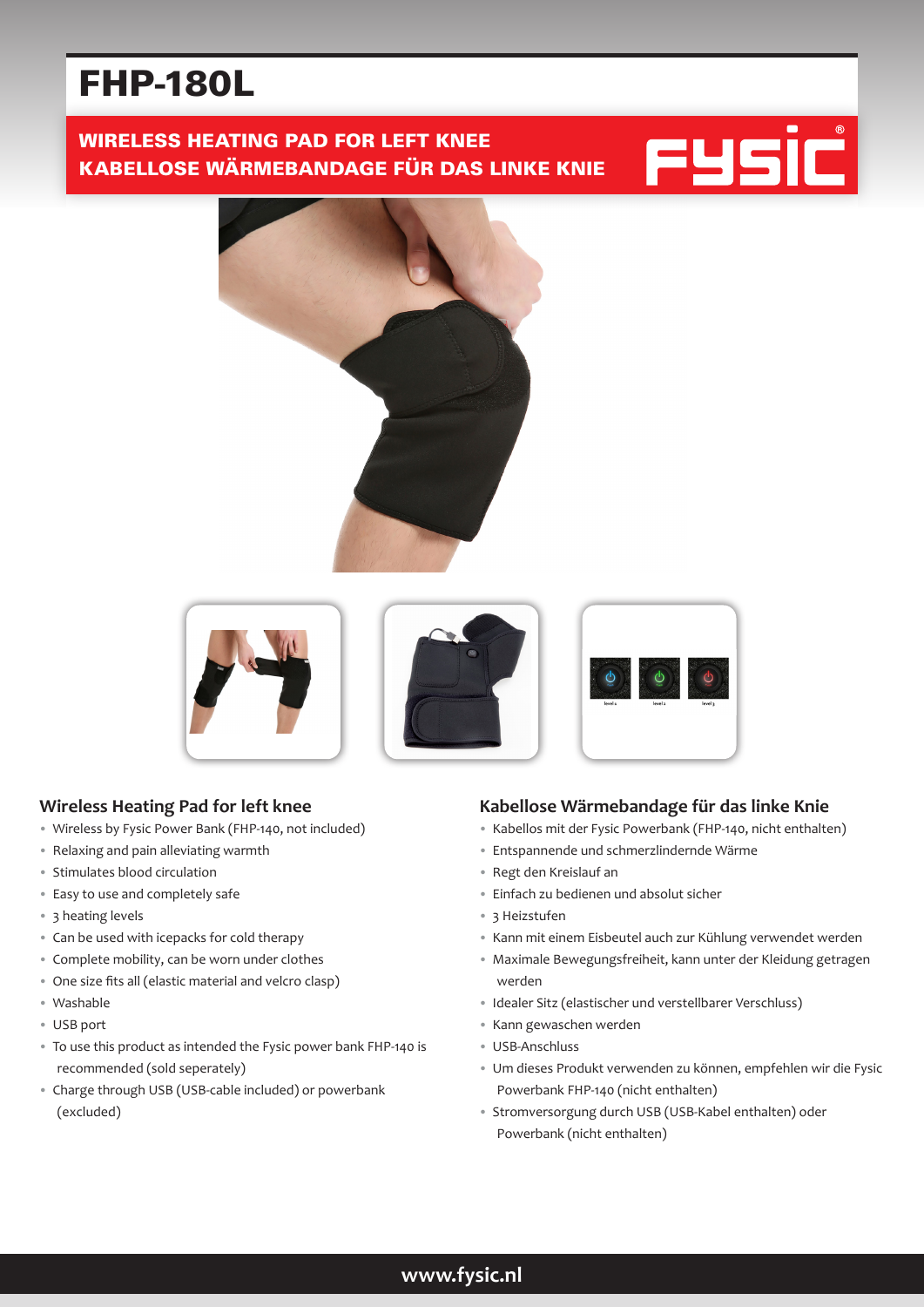# FHP-180L

# WIRELESS HEATING PAD FOR LEFT KNEE KABELLOSE WÄRMEBANDAGE FÜR DAS LINKE KNIE









# **Wireless Heating Pad for left knee**

- Wireless by Fysic Power Bank (FHP-140, not included)
- Relaxing and pain alleviating warmth
- Stimulates blood circulation
- Easy to use and completely safe
- 3 heating levels
- Can be used with icepacks for cold therapy
- Complete mobility, can be worn under clothes
- One size fits all (elastic material and velcro clasp)
- Washable
- USB port
- To use this product as intended the Fysic power bank FHP-140 is recommended (sold seperately)
- Charge through USB (USB-cable included) or powerbank (excluded)

## **Kabellose Wärmebandage für das linke Knie**

- Kabellos mit der Fysic Powerbank (FHP-140, nicht enthalten)
- Entspannende und schmerzlindernde Wärme
- Regt den Kreislauf an
- Einfach zu bedienen und absolut sicher
- 3 Heizstufen
- Kann mit einem Eisbeutel auch zur Kühlung verwendet werden
- Maximale Bewegungsfreiheit, kann unter der Kleidung getragen werden
- Idealer Sitz (elastischer und verstellbarer Verschluss)
- Kann gewaschen werden
- USB-Anschluss
- Um dieses Produkt verwenden zu können, empfehlen wir die Fysic Powerbank FHP-140 (nicht enthalten)
- Stromversorgung durch USB (USB-Kabel enthalten) oder Powerbank (nicht enthalten)